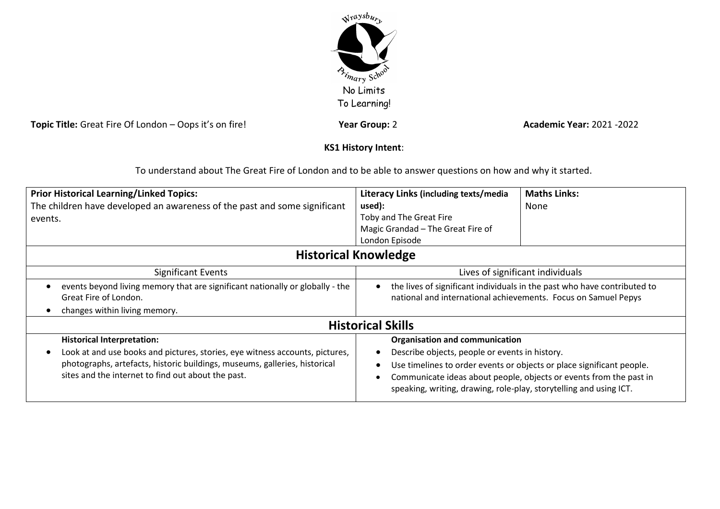

**Topic Title:** Great Fire Of London – Oops it's on fire! **Year Group:** 2 **Year Group:** 2 **Academic Year:** 2021 -2022

# **KS1 History Intent**:

To understand about The Great Fire of London and to be able to answer questions on how and why it started.

| <b>Prior Historical Learning/Linked Topics:</b><br>The children have developed an awareness of the past and some significant<br>events.                                                                                                                            | Literacy Links (including texts/media<br>used):<br>Toby and The Great Fire<br>Magic Grandad - The Great Fire of<br>London Episode                                                                                                                                                                            | <b>Maths Links:</b><br>None |  |
|--------------------------------------------------------------------------------------------------------------------------------------------------------------------------------------------------------------------------------------------------------------------|--------------------------------------------------------------------------------------------------------------------------------------------------------------------------------------------------------------------------------------------------------------------------------------------------------------|-----------------------------|--|
| <b>Historical Knowledge</b>                                                                                                                                                                                                                                        |                                                                                                                                                                                                                                                                                                              |                             |  |
| <b>Significant Events</b><br>events beyond living memory that are significant nationally or globally - the<br>Great Fire of London.<br>changes within living memory.                                                                                               | Lives of significant individuals<br>the lives of significant individuals in the past who have contributed to<br>national and international achievements. Focus on Samuel Pepys                                                                                                                               |                             |  |
| <b>Historical Skills</b>                                                                                                                                                                                                                                           |                                                                                                                                                                                                                                                                                                              |                             |  |
| <b>Historical Interpretation:</b><br>Look at and use books and pictures, stories, eye witness accounts, pictures,<br>$\bullet$<br>photographs, artefacts, historic buildings, museums, galleries, historical<br>sites and the internet to find out about the past. | <b>Organisation and communication</b><br>Describe objects, people or events in history.<br>Use timelines to order events or objects or place significant people.<br>Communicate ideas about people, objects or events from the past in<br>speaking, writing, drawing, role-play, storytelling and using ICT. |                             |  |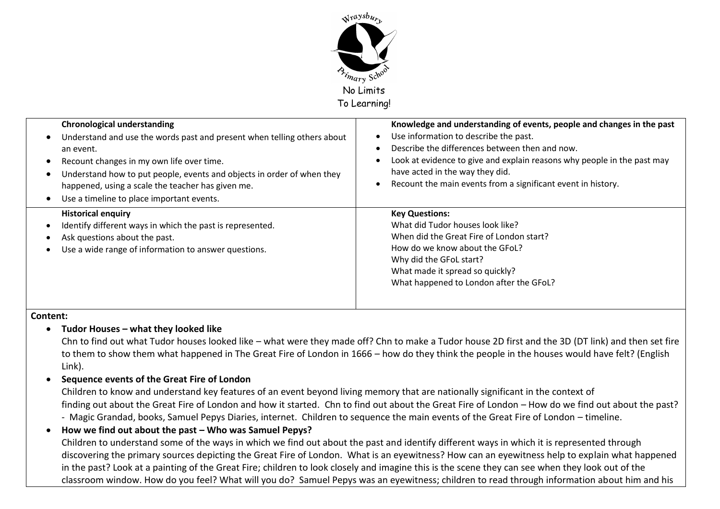

| <b>Chronological understanding</b><br>Understand and use the words past and present when telling others about<br>$\bullet$<br>an event.<br>Recount changes in my own life over time.<br>Understand how to put people, events and objects in order of when they<br>happened, using a scale the teacher has given me.<br>Use a timeline to place important events.<br>$\bullet$ | Knowledge and understanding of events, people and changes in the past<br>Use information to describe the past.<br>Describe the differences between then and now.<br>Look at evidence to give and explain reasons why people in the past may<br>have acted in the way they did.<br>Recount the main events from a significant event in history. |
|-------------------------------------------------------------------------------------------------------------------------------------------------------------------------------------------------------------------------------------------------------------------------------------------------------------------------------------------------------------------------------|------------------------------------------------------------------------------------------------------------------------------------------------------------------------------------------------------------------------------------------------------------------------------------------------------------------------------------------------|
| <b>Historical enquiry</b><br>Identify different ways in which the past is represented.<br>Ask questions about the past.<br>Use a wide range of information to answer questions.                                                                                                                                                                                               | <b>Key Questions:</b><br>What did Tudor houses look like?<br>When did the Great Fire of London start?<br>How do we know about the GFoL?<br>Why did the GFoL start?<br>What made it spread so quickly?<br>What happened to London after the GFoL?                                                                                               |

#### **Content:**

#### **Tudor Houses – what they looked like**

Chn to find out what Tudor houses looked like – what were they made off? Chn to make a Tudor house 2D first and the 3D (DT link) and then set fire to them to show them what happened in The Great Fire of London in 1666 – how do they think the people in the houses would have felt? (English Link).

## **Sequence events of the Great Fire of London**

Children to know and understand key features of an event beyond living memory that are nationally significant in the context of finding out about the Great Fire of London and how it started. Chn to find out about the Great Fire of London – How do we find out about the past? - Magic Grandad, books, Samuel Pepys Diaries, internet. Children to sequence the main events of the Great Fire of London – timeline.

## **How we find out about the past – Who was Samuel Pepys?** Children to understand some of the ways in which we find out about the past and identify different ways in which it is represented through discovering the primary sources depicting the Great Fire of London. What is an eyewitness? How can an eyewitness help to explain what happened in the past? Look at a painting of the Great Fire; children to look closely and imagine this is the scene they can see when they look out of the classroom window. How do you feel? What will you do? Samuel Pepys was an eyewitness; children to read through information about him and his